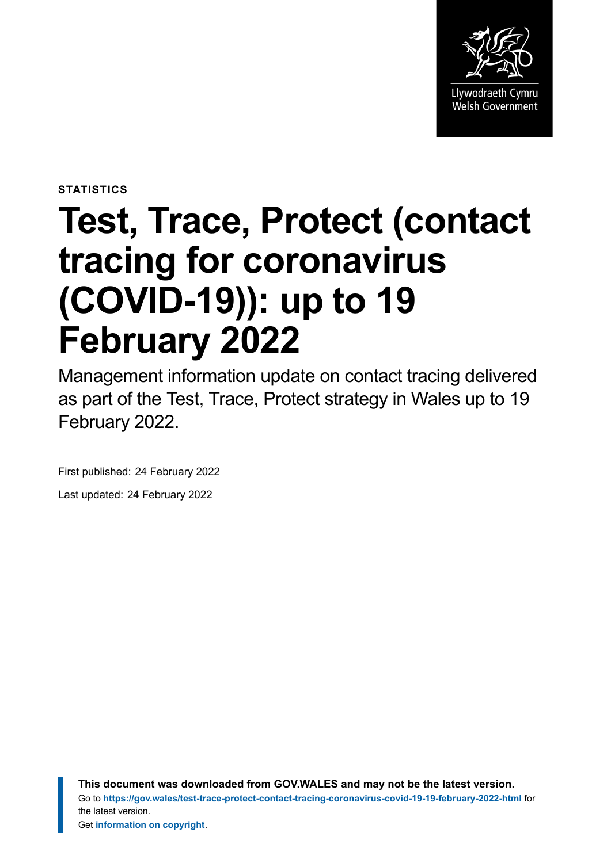

**STATISTICS**

# **Test, Trace, Protect (contact tracing for coronavirus (COVID-19)): up to 19 February 2022**

Management information update on contact tracing delivered as part of the Test, Trace, Protect strategy in Wales up to 19 February 2022.

First published: 24 February 2022

Last updated: 24 February 2022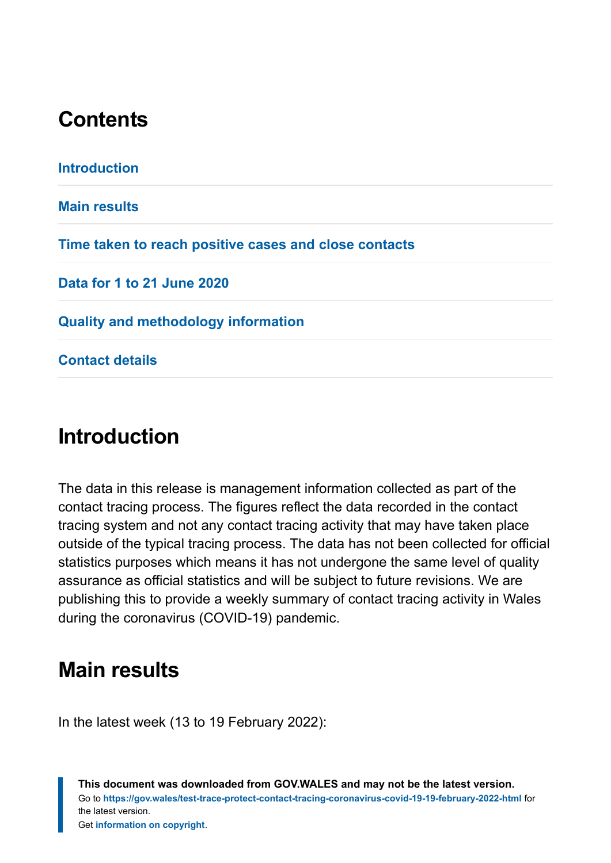### **Contents**

**[Introduction](#page-1-0) [Main results](#page-1-1) [Time taken to reach positive cases and close contacts](#page-7-0) [Data for 1 to 21 June 2020](#page-8-0) [Quality and methodology information](#page-9-0) [Contact details](#page-18-0)**

### <span id="page-1-0"></span>**Introduction**

The data in this release is management information collected as part of the contact tracing process. The figures reflect the data recorded in the contact tracing system and not any contact tracing activity that may have taken place outside of the typical tracing process. The data has not been collected for official statistics purposes which means it has not undergone the same level of quality assurance as official statistics and will be subject to future revisions. We are publishing this to provide a weekly summary of contact tracing activity in Wales during the coronavirus (COVID-19) pandemic.

### <span id="page-1-1"></span>**Main results**

In the latest week (13 to 19 February 2022):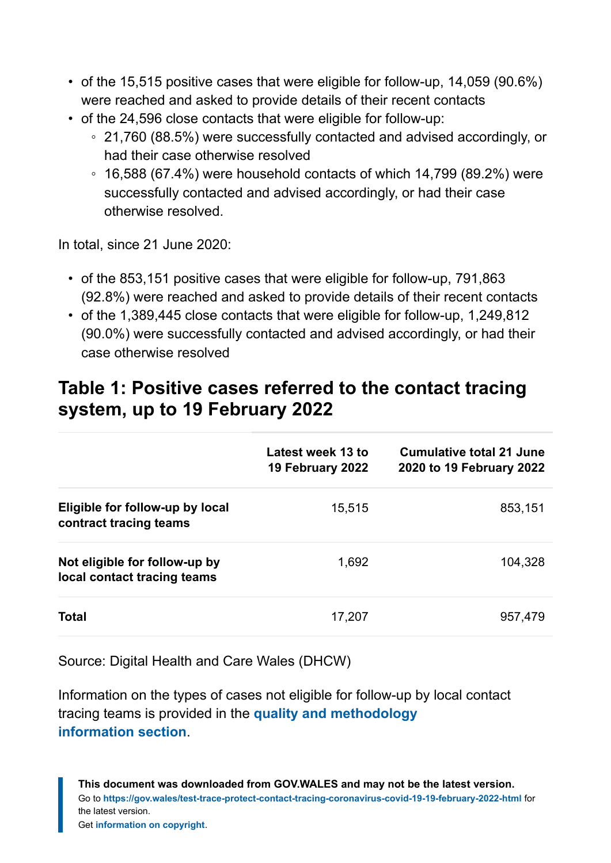- of the 15,515 positive cases that were eligible for follow-up, 14,059 (90.6%) were reached and asked to provide details of their recent contacts
- of the 24,596 close contacts that were eligible for follow-up:
	- 21,760 (88.5%) were successfully contacted and advised accordingly, or had their case otherwise resolved
	- 16,588 (67.4%) were household contacts of which 14,799 (89.2%) were successfully contacted and advised accordingly, or had their case otherwise resolved.

In total, since 21 June 2020:

- of the 853,151 positive cases that were eligible for follow-up, 791,863 (92.8%) were reached and asked to provide details of their recent contacts
- of the 1,389,445 close contacts that were eligible for follow-up, 1,249,812 (90.0%) were successfully contacted and advised accordingly, or had their case otherwise resolved

#### **Table 1: Positive cases referred to the contact tracing system, up to 19 February 2022**

|                                                              | Latest week 13 to<br>19 February 2022 | Cumulative total 21 June<br>2020 to 19 February 2022 |
|--------------------------------------------------------------|---------------------------------------|------------------------------------------------------|
| Eligible for follow-up by local<br>contract tracing teams    | 15,515                                | 853,151                                              |
| Not eligible for follow-up by<br>local contact tracing teams | 1,692                                 | 104,328                                              |
| Total                                                        | 17,207                                | 957,479                                              |

Source: Digital Health and Care Wales (DHCW)

Information on the types of cases not eligible for follow-up by local contact tracing teams is provided in the **[quality and methodology](#page-9-0) [information](#page-9-0) section**.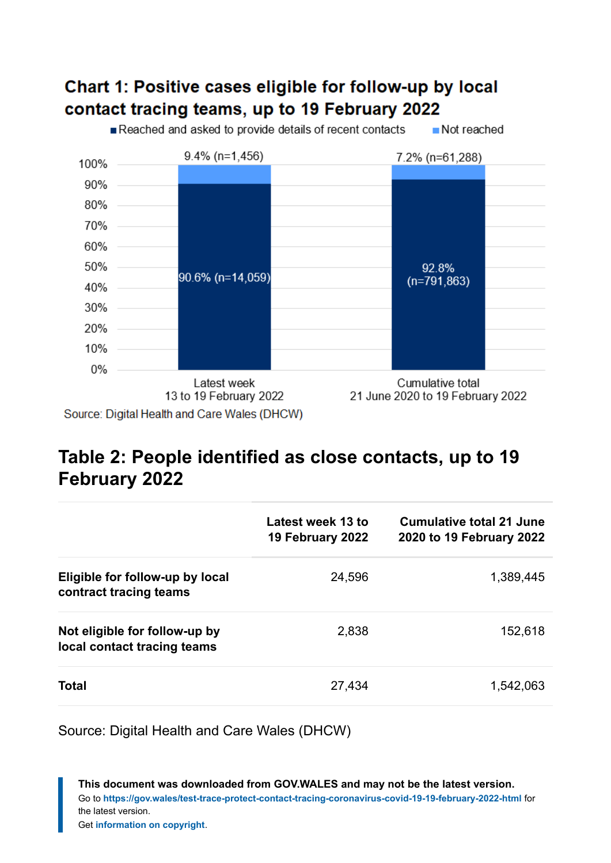### Chart 1: Positive cases eligible for follow-up by local contact tracing teams, up to 19 February 2022

Reached and asked to provide details of recent contacts Not reached



### **Table 2: People identified as close contacts, up to 19 February 2022**

|                                                              | Latest week 13 to<br>19 February 2022 | Cumulative total 21 June<br>2020 to 19 February 2022 |
|--------------------------------------------------------------|---------------------------------------|------------------------------------------------------|
| Eligible for follow-up by local<br>contract tracing teams    | 24,596                                | 1,389,445                                            |
| Not eligible for follow-up by<br>local contact tracing teams | 2,838                                 | 152,618                                              |
| <b>Total</b>                                                 | 27,434                                | 1,542,063                                            |

Source: Digital Health and Care Wales (DHCW)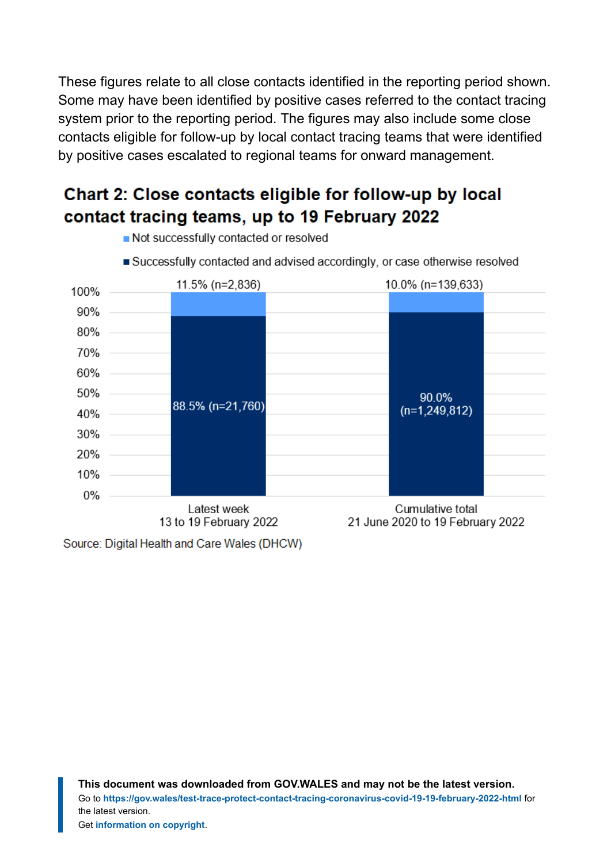These figures relate to all close contacts identified in the reporting period shown. Some may have been identified by positive cases referred to the contact tracing system prior to the reporting period. The figures may also include some close contacts eligible for follow-up by local contact tracing teams that were identified by positive cases escalated to regional teams for onward management.

### Chart 2: Close contacts eligible for follow-up by local contact tracing teams, up to 19 February 2022



- Not successfully contacted or resolved
- Successfully contacted and advised accordingly, or case otherwise resolved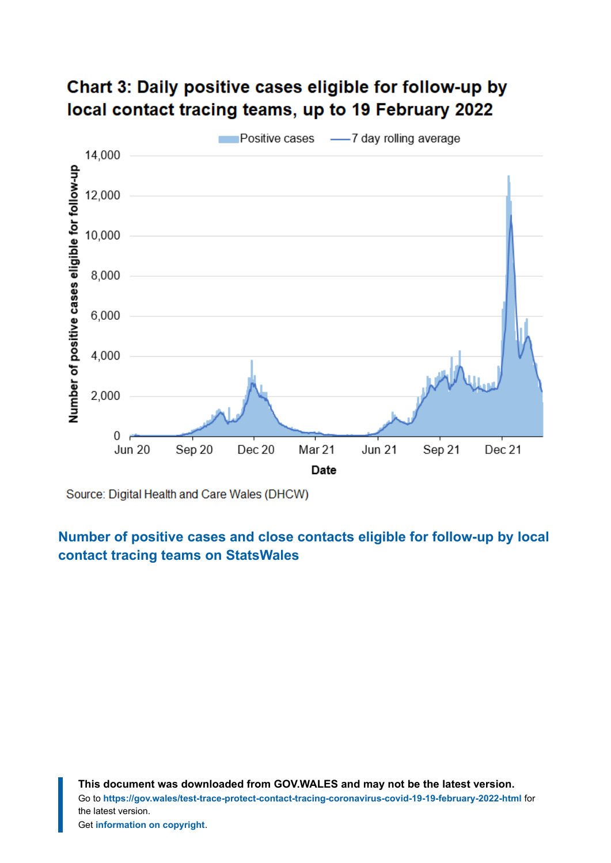### Chart 3: Daily positive cases eligible for follow-up by local contact tracing teams, up to 19 February 2022



Source: Digital Health and Care Wales (DHCW)

**[Number of positive cases and close contacts eligible for follow-up by local](https://statswales.gov.wales/Catalogue/Health-and-Social-Care/coronavirus-covid-19/contact-tracing-for-coronavirus-covid-19/numberofpositivecasesandclosecontactseligibleforfollowup-by-localcontacttracingteams?_ga=2.20299512.1516303045.1645428165-1086771297.1619441781) [contact tracing teams](https://statswales.gov.wales/Catalogue/Health-and-Social-Care/coronavirus-covid-19/contact-tracing-for-coronavirus-covid-19/numberofpositivecasesandclosecontactseligibleforfollowup-by-localcontacttracingteams?_ga=2.20299512.1516303045.1645428165-1086771297.1619441781) on StatsWales**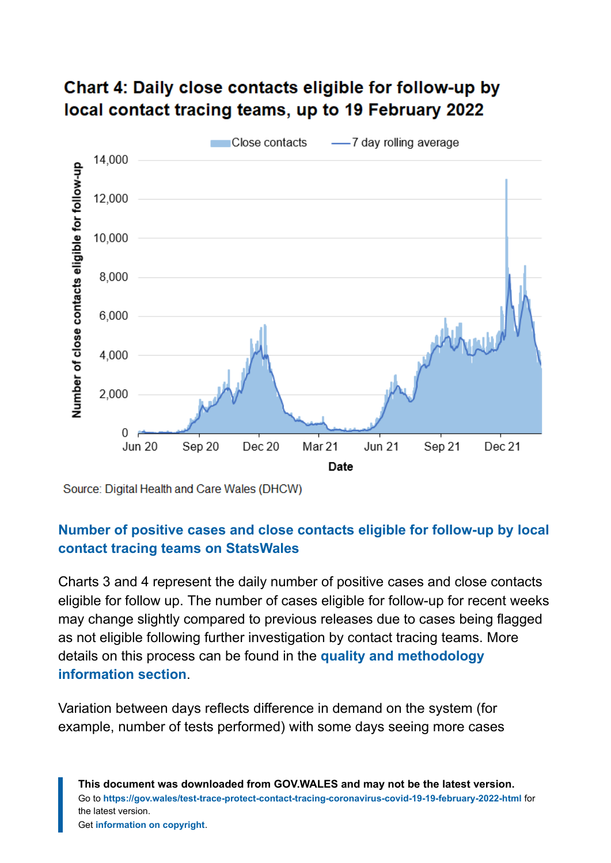

### Chart 4: Daily close contacts eligible for follow-up by local contact tracing teams, up to 19 February 2022

Source: Digital Health and Care Wales (DHCW)

#### **[Number of positive cases and close contacts eligible for follow-up by local](https://statswales.gov.wales/Catalogue/Health-and-Social-Care/coronavirus-covid-19/contact-tracing-for-coronavirus-covid-19/numberofpositivecasesandclosecontactseligibleforfollowup-by-localcontacttracingteams?_ga=2.216589840.744232592.1644220899-1086771297.1619441781) [contact tracing teams](https://statswales.gov.wales/Catalogue/Health-and-Social-Care/coronavirus-covid-19/contact-tracing-for-coronavirus-covid-19/numberofpositivecasesandclosecontactseligibleforfollowup-by-localcontacttracingteams?_ga=2.216589840.744232592.1644220899-1086771297.1619441781) on StatsWales**

Charts 3 and 4 represent the daily number of positive cases and close contacts eligible for follow up. The number of cases eligible for follow-up for recent weeks may change slightly compared to previous releases due to cases being flagged as not eligible following further investigation by contact tracing teams. More details on this process can be found in the **[quality and methodology](#page-9-0) [information](#page-9-0) section**.

Variation between days reflects difference in demand on the system (for example, number of tests performed) with some days seeing more cases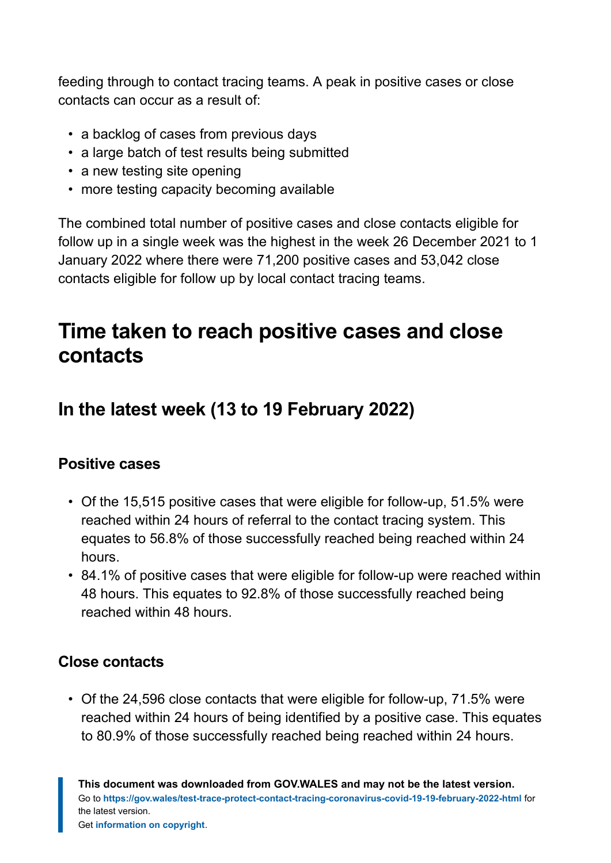feeding through to contact tracing teams. A peak in positive cases or close contacts can occur as a result of:

- a backlog of cases from previous days
- a large batch of test results being submitted
- a new testing site opening
- more testing capacity becoming available

The combined total number of positive cases and close contacts eligible for follow up in a single week was the highest in the week 26 December 2021 to 1 January 2022 where there were 71,200 positive cases and 53,042 close contacts eligible for follow up by local contact tracing teams.

### <span id="page-7-0"></span>**Time taken to reach positive cases and close contacts**

### **In the latest week (13 to 19 February 2022)**

#### **Positive cases**

- Of the 15,515 positive cases that were eligible for follow-up, 51.5% were reached within 24 hours of referral to the contact tracing system. This equates to 56.8% of those successfully reached being reached within 24 hours.
- 84.1% of positive cases that were eligible for follow-up were reached within 48 hours. This equates to 92.8% of those successfully reached being reached within 48 hours.

#### **Close contacts**

• Of the 24,596 close contacts that were eligible for follow-up, 71.5% were reached within 24 hours of being identified by a positive case. This equates to 80.9% of those successfully reached being reached within 24 hours.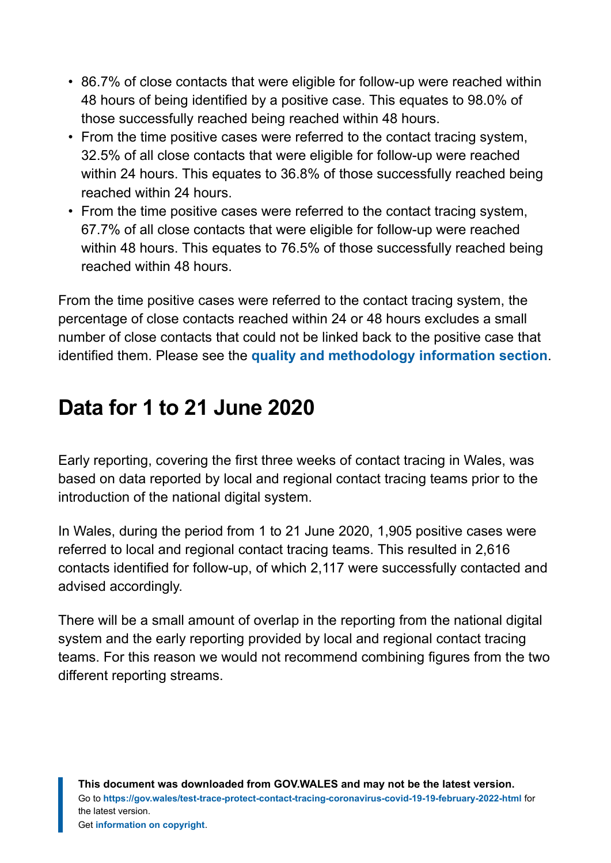- 86.7% of close contacts that were eligible for follow-up were reached within 48 hours of being identified by a positive case. This equates to 98.0% of those successfully reached being reached within 48 hours.
- From the time positive cases were referred to the contact tracing system, 32.5% of all close contacts that were eligible for follow-up were reached within 24 hours. This equates to 36.8% of those successfully reached being reached within 24 hours.
- From the time positive cases were referred to the contact tracing system, 67.7% of all close contacts that were eligible for follow-up were reached within 48 hours. This equates to 76.5% of those successfully reached being reached within 48 hours.

From the time positive cases were referred to the contact tracing system, the percentage of close contacts reached within 24 or 48 hours excludes a small number of close contacts that could not be linked back to the positive case that identified them. Please see the **[quality and methodology information](#page-9-0) section**.

# <span id="page-8-0"></span>**Data for 1 to 21 June 2020**

Early reporting, covering the first three weeks of contact tracing in Wales, was based on data reported by local and regional contact tracing teams prior to the introduction of the national digital system.

In Wales, during the period from 1 to 21 June 2020, 1,905 positive cases were referred to local and regional contact tracing teams. This resulted in 2,616 contacts identified for follow-up, of which 2,117 were successfully contacted and advised accordingly.

There will be a small amount of overlap in the reporting from the national digital system and the early reporting provided by local and regional contact tracing teams. For this reason we would not recommend combining figures from the two different reporting streams.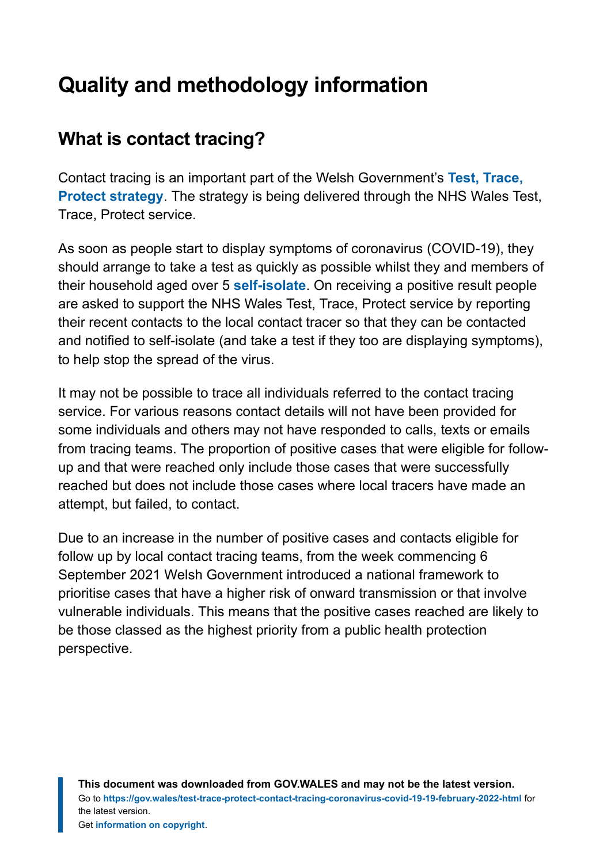# <span id="page-9-0"></span>**Quality and methodology information**

### **What is contact tracing?**

Contact tracing is an important part of the Welsh Government's **[Test, Trace,](https://gov.wales/test-trace-protect) [Protect strategy](https://gov.wales/test-trace-protect)**. The strategy is being delivered through the NHS Wales Test, Trace, Protect service.

As soon as people start to display symptoms of coronavirus (COVID-19), they should arrange to take a test as quickly as possible whilst they and members of their household aged over 5 **[self-isolate](https://gov.wales/self-isolation)**. On receiving a positive result people are asked to support the NHS Wales Test, Trace, Protect service by reporting their recent contacts to the local contact tracer so that they can be contacted and notified to self-isolate (and take a test if they too are displaying symptoms), to help stop the spread of the virus.

It may not be possible to trace all individuals referred to the contact tracing service. For various reasons contact details will not have been provided for some individuals and others may not have responded to calls, texts or emails from tracing teams. The proportion of positive cases that were eligible for followup and that were reached only include those cases that were successfully reached but does not include those cases where local tracers have made an attempt, but failed, to contact.

Due to an increase in the number of positive cases and contacts eligible for follow up by local contact tracing teams, from the week commencing 6 September 2021 Welsh Government introduced a national framework to prioritise cases that have a higher risk of onward transmission or that involve vulnerable individuals. This means that the positive cases reached are likely to be those classed as the highest priority from a public health protection perspective.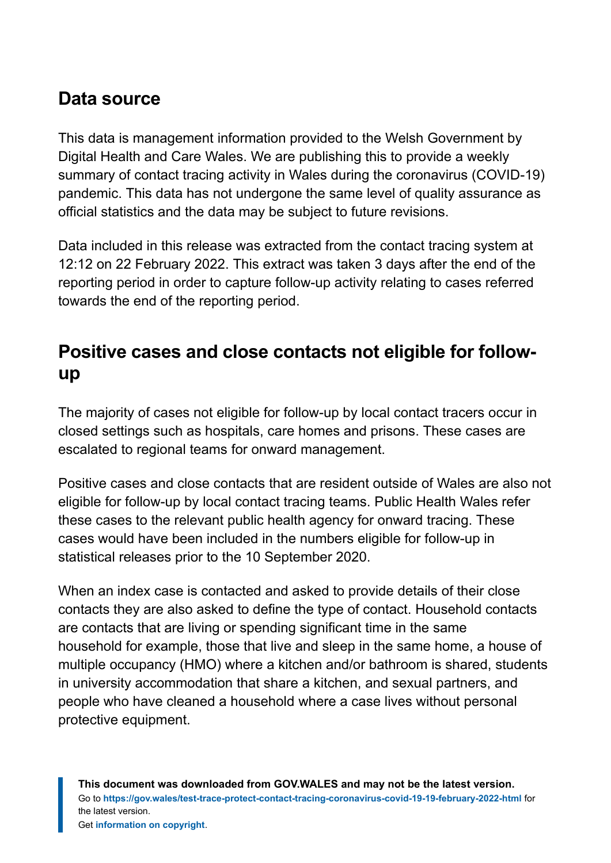### **Data source**

This data is management information provided to the Welsh Government by Digital Health and Care Wales. We are publishing this to provide a weekly summary of contact tracing activity in Wales during the coronavirus (COVID-19) pandemic. This data has not undergone the same level of quality assurance as official statistics and the data may be subject to future revisions.

Data included in this release was extracted from the contact tracing system at 12:12 on 22 February 2022. This extract was taken 3 days after the end of the reporting period in order to capture follow-up activity relating to cases referred towards the end of the reporting period.

### **Positive cases and close contacts not eligible for followup**

The majority of cases not eligible for follow-up by local contact tracers occur in closed settings such as hospitals, care homes and prisons. These cases are escalated to regional teams for onward management.

Positive cases and close contacts that are resident outside of Wales are also not eligible for follow-up by local contact tracing teams. Public Health Wales refer these cases to the relevant public health agency for onward tracing. These cases would have been included in the numbers eligible for follow-up in statistical releases prior to the 10 September 2020.

When an index case is contacted and asked to provide details of their close contacts they are also asked to define the type of contact. Household contacts are contacts that are living or spending significant time in the same household for example, those that live and sleep in the same home, a house of multiple occupancy (HMO) where a kitchen and/or bathroom is shared, students in university accommodation that share a kitchen, and sexual partners, and people who have cleaned a household where a case lives without personal protective equipment.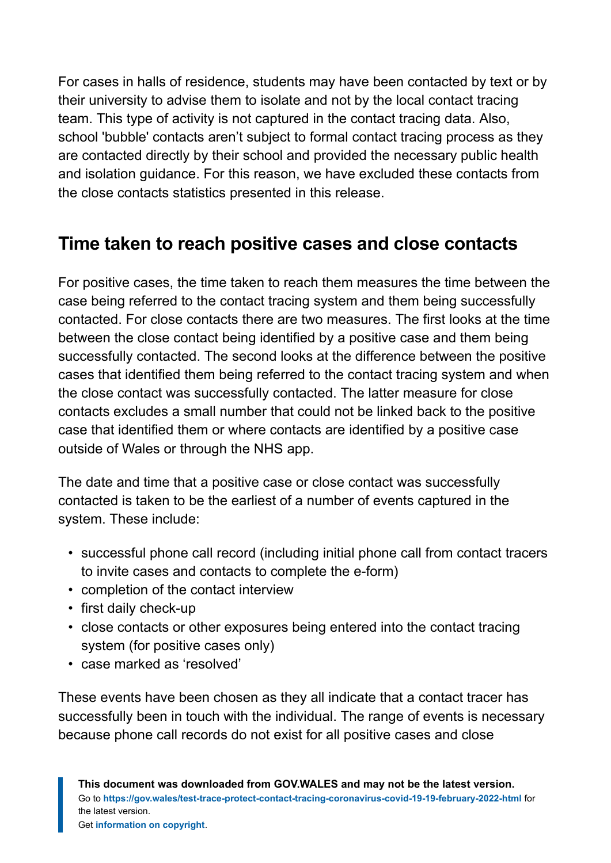For cases in halls of residence, students may have been contacted by text or by their university to advise them to isolate and not by the local contact tracing team. This type of activity is not captured in the contact tracing data. Also, school 'bubble' contacts aren't subject to formal contact tracing process as they are contacted directly by their school and provided the necessary public health and isolation guidance. For this reason, we have excluded these contacts from the close contacts statistics presented in this release.

### **Time taken to reach positive cases and close contacts**

For positive cases, the time taken to reach them measures the time between the case being referred to the contact tracing system and them being successfully contacted. For close contacts there are two measures. The first looks at the time between the close contact being identified by a positive case and them being successfully contacted. The second looks at the difference between the positive cases that identified them being referred to the contact tracing system and when the close contact was successfully contacted. The latter measure for close contacts excludes a small number that could not be linked back to the positive case that identified them or where contacts are identified by a positive case outside of Wales or through the NHS app.

The date and time that a positive case or close contact was successfully contacted is taken to be the earliest of a number of events captured in the system. These include:

- successful phone call record (including initial phone call from contact tracers to invite cases and contacts to complete the e-form)
- completion of the contact interview
- first daily check-up
- close contacts or other exposures being entered into the contact tracing system (for positive cases only)
- case marked as 'resolved'

These events have been chosen as they all indicate that a contact tracer has successfully been in touch with the individual. The range of events is necessary because phone call records do not exist for all positive cases and close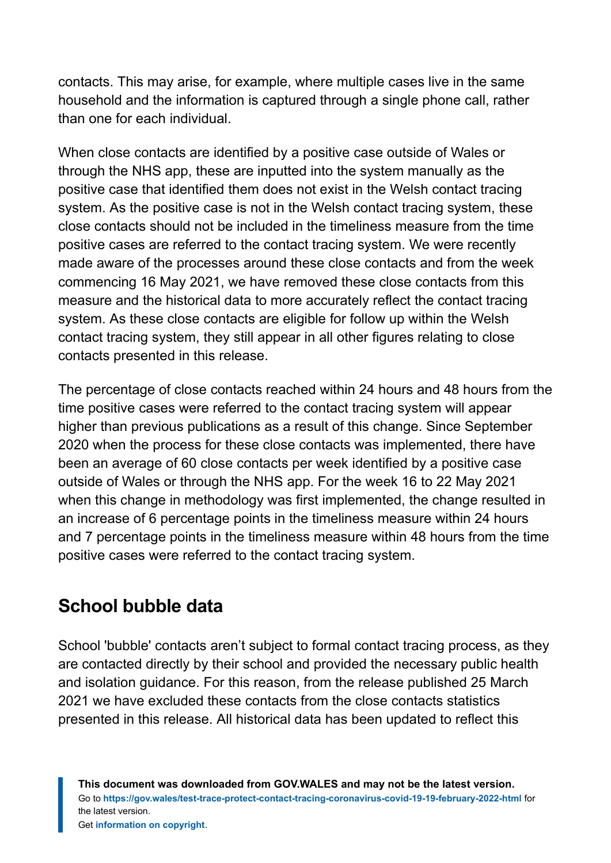contacts. This may arise, for example, where multiple cases live in the same household and the information is captured through a single phone call, rather than one for each individual.

When close contacts are identified by a positive case outside of Wales or through the NHS app, these are inputted into the system manually as the positive case that identified them does not exist in the Welsh contact tracing system. As the positive case is not in the Welsh contact tracing system, these close contacts should not be included in the timeliness measure from the time positive cases are referred to the contact tracing system. We were recently made aware of the processes around these close contacts and from the week commencing 16 May 2021, we have removed these close contacts from this measure and the historical data to more accurately reflect the contact tracing system. As these close contacts are eligible for follow up within the Welsh contact tracing system, they still appear in all other figures relating to close contacts presented in this release.

The percentage of close contacts reached within 24 hours and 48 hours from the time positive cases were referred to the contact tracing system will appear higher than previous publications as a result of this change. Since September 2020 when the process for these close contacts was implemented, there have been an average of 60 close contacts per week identified by a positive case outside of Wales or through the NHS app. For the week 16 to 22 May 2021 when this change in methodology was first implemented, the change resulted in an increase of 6 percentage points in the timeliness measure within 24 hours and 7 percentage points in the timeliness measure within 48 hours from the time positive cases were referred to the contact tracing system.

### **School bubble data**

School 'bubble' contacts aren't subject to formal contact tracing process, as they are contacted directly by their school and provided the necessary public health and isolation guidance. For this reason, from the release published 25 March 2021 we have excluded these contacts from the close contacts statistics presented in this release. All historical data has been updated to reflect this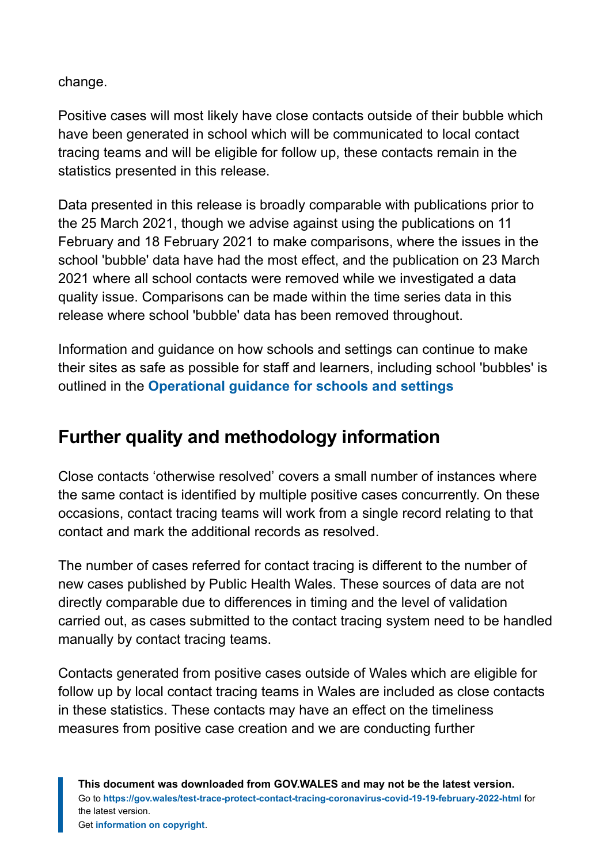change.

Positive cases will most likely have close contacts outside of their bubble which have been generated in school which will be communicated to local contact tracing teams and will be eligible for follow up, these contacts remain in the statistics presented in this release.

Data presented in this release is broadly comparable with publications prior to the 25 March 2021, though we advise against using the publications on 11 February and 18 February 2021 to make comparisons, where the issues in the school 'bubble' data have had the most effect, and the publication on 23 March 2021 where all school contacts were removed while we investigated a data quality issue. Comparisons can be made within the time series data in this release where school 'bubble' data has been removed throughout.

Information and guidance on how schools and settings can continue to make their sites as safe as possible for staff and learners, including school 'bubbles' is outlined in the **[Operational guidance for schools and settings](https://gov.wales/node/38016)**

### **Further quality and methodology information**

Close contacts 'otherwise resolved' covers a small number of instances where the same contact is identified by multiple positive cases concurrently. On these occasions, contact tracing teams will work from a single record relating to that contact and mark the additional records as resolved.

The number of cases referred for contact tracing is different to the number of new cases published by Public Health Wales. These sources of data are not directly comparable due to differences in timing and the level of validation carried out, as cases submitted to the contact tracing system need to be handled manually by contact tracing teams.

Contacts generated from positive cases outside of Wales which are eligible for follow up by local contact tracing teams in Wales are included as close contacts in these statistics. These contacts may have an effect on the timeliness measures from positive case creation and we are conducting further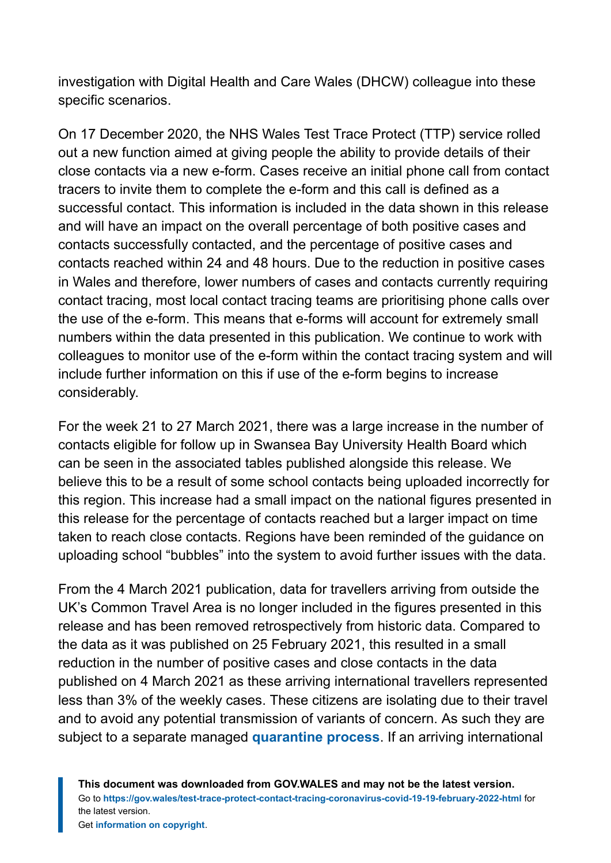investigation with Digital Health and Care Wales (DHCW) colleague into these specific scenarios.

On 17 December 2020, the NHS Wales Test Trace Protect (TTP) service rolled out a new function aimed at giving people the ability to provide details of their close contacts via a new e-form. Cases receive an initial phone call from contact tracers to invite them to complete the e-form and this call is defined as a successful contact. This information is included in the data shown in this release and will have an impact on the overall percentage of both positive cases and contacts successfully contacted, and the percentage of positive cases and contacts reached within 24 and 48 hours. Due to the reduction in positive cases in Wales and therefore, lower numbers of cases and contacts currently requiring contact tracing, most local contact tracing teams are prioritising phone calls over the use of the e-form. This means that e-forms will account for extremely small numbers within the data presented in this publication. We continue to work with colleagues to monitor use of the e-form within the contact tracing system and will include further information on this if use of the e-form begins to increase considerably.

For the week 21 to 27 March 2021, there was a large increase in the number of contacts eligible for follow up in Swansea Bay University Health Board which can be seen in the associated tables published alongside this release. We believe this to be a result of some school contacts being uploaded incorrectly for this region. This increase had a small impact on the national figures presented in this release for the percentage of contacts reached but a larger impact on time taken to reach close contacts. Regions have been reminded of the guidance on uploading school "bubbles" into the system to avoid further issues with the data.

From the 4 March 2021 publication, data for travellers arriving from outside the UK's Common Travel Area is no longer included in the figures presented in this release and has been removed retrospectively from historic data. Compared to the data as it was published on 25 February 2021, this resulted in a small reduction in the number of positive cases and close contacts in the data published on 4 March 2021 as these arriving international travellers represented less than 3% of the weekly cases. These citizens are isolating due to their travel and to avoid any potential transmission of variants of concern. As such they are subject to a separate managed **[quarantine process](https://gov.wales/how-isolate-when-you-travel-wales-coronavirus-covid-19)**. If an arriving international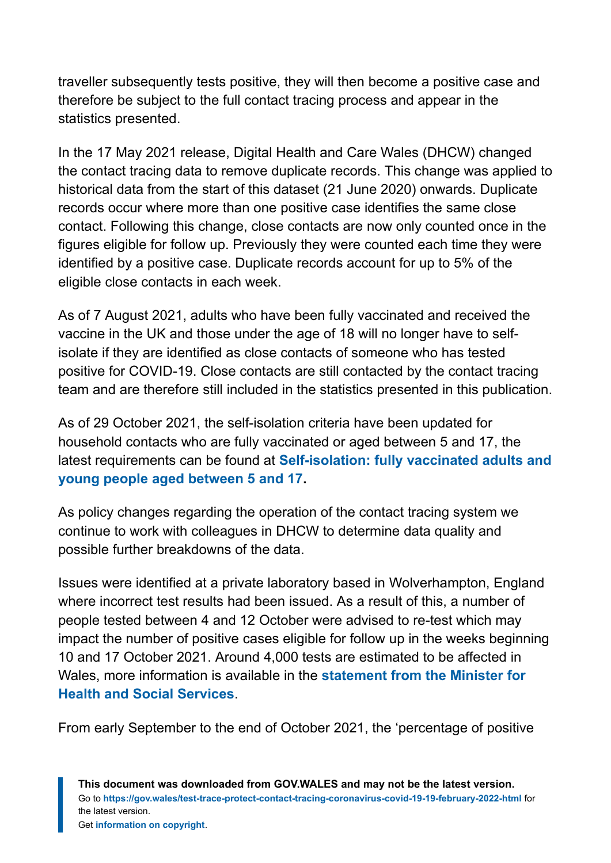traveller subsequently tests positive, they will then become a positive case and therefore be subject to the full contact tracing process and appear in the statistics presented.

In the 17 May 2021 release, Digital Health and Care Wales (DHCW) changed the contact tracing data to remove duplicate records. This change was applied to historical data from the start of this dataset (21 June 2020) onwards. Duplicate records occur where more than one positive case identifies the same close contact. Following this change, close contacts are now only counted once in the figures eligible for follow up. Previously they were counted each time they were identified by a positive case. Duplicate records account for up to 5% of the eligible close contacts in each week.

As of 7 August 2021, adults who have been fully vaccinated and received the vaccine in the UK and those under the age of 18 will no longer have to selfisolate if they are identified as close contacts of someone who has tested positive for COVID-19. Close contacts are still contacted by the contact tracing team and are therefore still included in the statistics presented in this publication.

As of 29 October 2021, the self-isolation criteria have been updated for household contacts who are fully vaccinated or aged between 5 and 17, the latest requirements can be found at **[Self-isolation: fully vaccinated adults and](https://eur01.safelinks.protection.outlook.com/?url=https%3A%2F%2Fgov.wales%2Fself-isolation%23section-83759&data=04%7C01%7CLisa.Bloemberg%40gov.wales%7C11b24c7619744c4b4b8608d9db45efb8%7Ca2cc36c592804ae78887d06dab89216b%7C0%7C0%7C637781915677040668%7CUnknown%7CTWFpbGZsb3d8eyJWIjoiMC4wLjAwMDAiLCJQIjoiV2luMzIiLCJBTiI6Ik1haWwiLCJXVCI6Mn0%3D%7C3000&sdata=OXcmQPRh7n3HA4acgO3apukDA8uXLR%2FRd019fXbuP7I%3D&reserved=0) [young people aged between 5 and 17](https://eur01.safelinks.protection.outlook.com/?url=https%3A%2F%2Fgov.wales%2Fself-isolation%23section-83759&data=04%7C01%7CLisa.Bloemberg%40gov.wales%7C11b24c7619744c4b4b8608d9db45efb8%7Ca2cc36c592804ae78887d06dab89216b%7C0%7C0%7C637781915677040668%7CUnknown%7CTWFpbGZsb3d8eyJWIjoiMC4wLjAwMDAiLCJQIjoiV2luMzIiLCJBTiI6Ik1haWwiLCJXVCI6Mn0%3D%7C3000&sdata=OXcmQPRh7n3HA4acgO3apukDA8uXLR%2FRd019fXbuP7I%3D&reserved=0).**

As policy changes regarding the operation of the contact tracing system we continue to work with colleagues in DHCW to determine data quality and possible further breakdowns of the data.

Issues were identified at a private laboratory based in Wolverhampton, England where incorrect test results had been issued. As a result of this, a number of people tested between 4 and 12 October were advised to re-test which may impact the number of positive cases eligible for follow up in the weeks beginning 10 and 17 October 2021. Around 4,000 tests are estimated to be affected in Wales, more information is available in the **[statement from the Minister for](https://gov.wales/written-statement-has-issued-update-welsh-residents-impacted-incorrect-covid-19-test-results) [Health and Social Services](https://gov.wales/written-statement-has-issued-update-welsh-residents-impacted-incorrect-covid-19-test-results)**.

From early September to the end of October 2021, the 'percentage of positive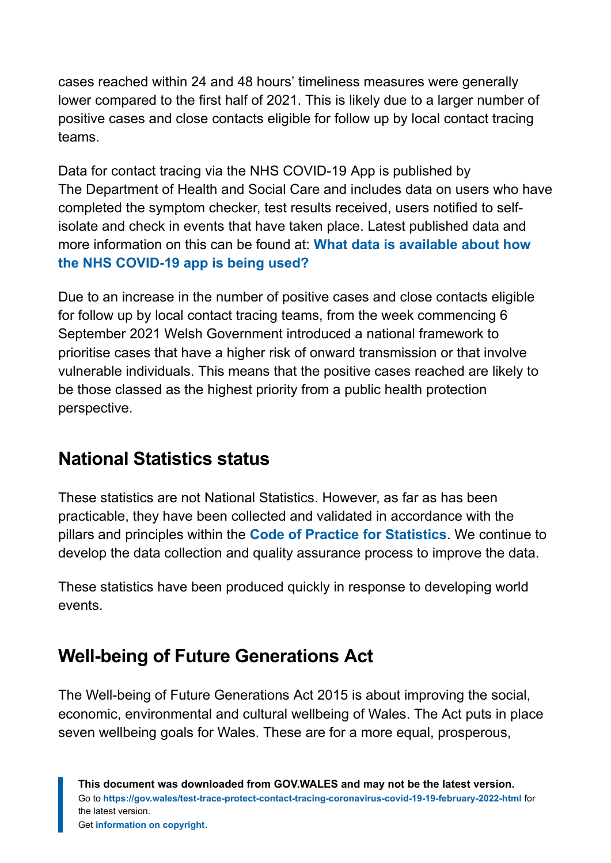cases reached within 24 and 48 hours' timeliness measures were generally lower compared to the first half of 2021. This is likely due to a larger number of positive cases and close contacts eligible for follow up by local contact tracing teams.

Data for contact tracing via the NHS COVID-19 App is published by The Department of Health and Social Care and includes data on users who have completed the symptom checker, test results received, users notified to selfisolate and check in events that have taken place. Latest published data and more information on this can be found at: **[What data is available about how](https://faq.covid19.nhs.uk/article/KA-01367) [the NHS COVID-19 app is being used?](https://faq.covid19.nhs.uk/article/KA-01367)**

Due to an increase in the number of positive cases and close contacts eligible for follow up by local contact tracing teams, from the week commencing 6 September 2021 Welsh Government introduced a national framework to prioritise cases that have a higher risk of onward transmission or that involve vulnerable individuals. This means that the positive cases reached are likely to be those classed as the highest priority from a public health protection perspective.

### **National Statistics status**

These statistics are not National Statistics. However, as far as has been practicable, they have been collected and validated in accordance with the pillars and principles within the **[Code of Practice for Statistics](https://code.statisticsauthority.gov.uk/)**. We continue to develop the data collection and quality assurance process to improve the data.

These statistics have been produced quickly in response to developing world events.

### **Well-being of Future Generations Act**

The Well-being of Future Generations Act 2015 is about improving the social, economic, environmental and cultural wellbeing of Wales. The Act puts in place seven wellbeing goals for Wales. These are for a more equal, prosperous,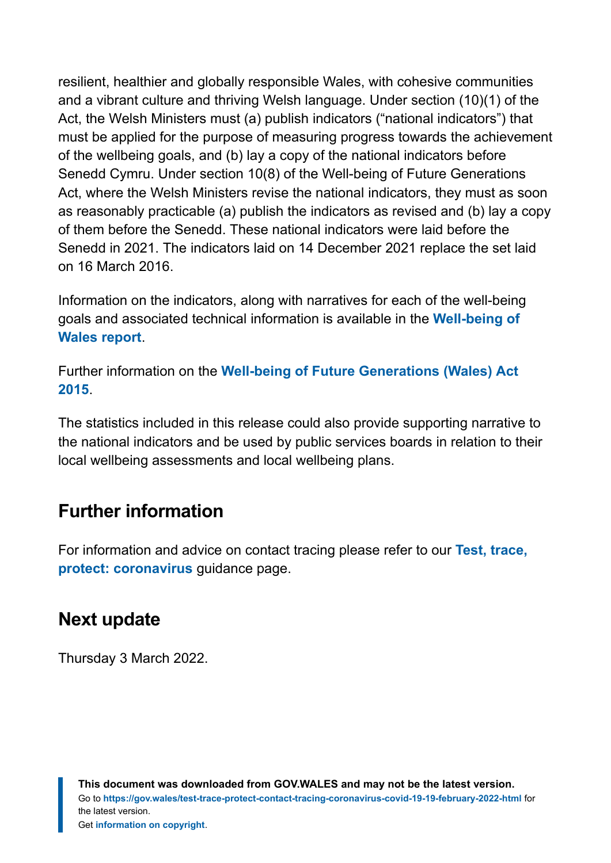resilient, healthier and globally responsible Wales, with cohesive communities and a vibrant culture and thriving Welsh language. Under section (10)(1) of the Act, the Welsh Ministers must (a) publish indicators ("national indicators") that must be applied for the purpose of measuring progress towards the achievement of the wellbeing goals, and (b) lay a copy of the national indicators before Senedd Cymru. Under section 10(8) of the Well-being of Future Generations Act, where the Welsh Ministers revise the national indicators, they must as soon as reasonably practicable (a) publish the indicators as revised and (b) lay a copy of them before the Senedd. These national indicators were laid before the Senedd in 2021. The indicators laid on 14 December 2021 replace the set laid on 16 March 2016.

Information on the indicators, along with narratives for each of the well-being goals and associated technical information is available in the **[Well-being of](https://gov.wales/wellbeing-wales) [Wales report](https://gov.wales/wellbeing-wales)**.

Further information on the **[Well-being of Future Generations \(Wales\) Act](https://gov.wales/well-being-future-generations-wales-act-2015-guidance) [2015](https://gov.wales/well-being-future-generations-wales-act-2015-guidance)**.

The statistics included in this release could also provide supporting narrative to the national indicators and be used by public services boards in relation to their local wellbeing assessments and local wellbeing plans.

### **Further information**

For information and advice on contact tracing please refer to our **[Test, trace,](https://gov.wales/test-trace-protect-coronavirus) [protect: coronavirus](https://gov.wales/test-trace-protect-coronavirus)** guidance page.

### **Next update**

Thursday 3 March 2022.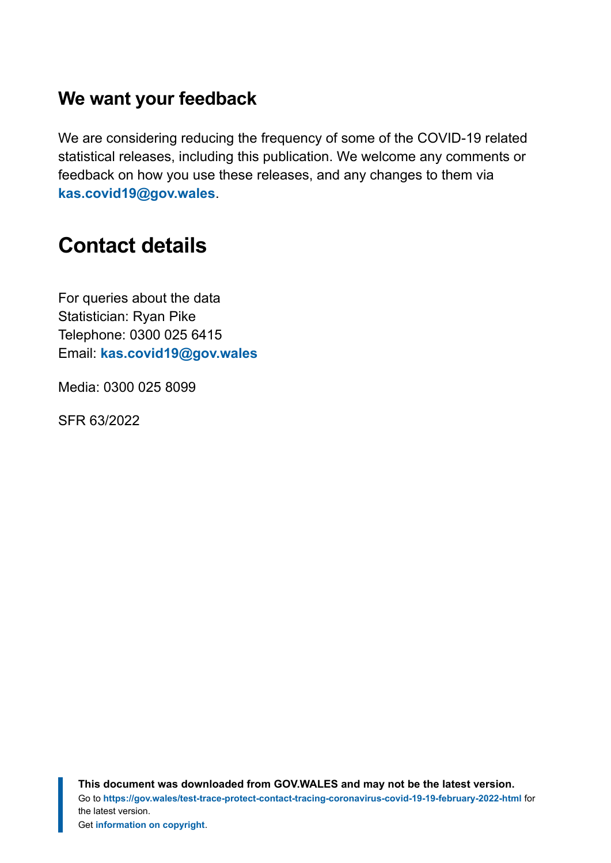#### **We want your feedback**

We are considering reducing the frequency of some of the COVID-19 related statistical releases, including this publication. We welcome any comments or feedback on how you use these releases, and any changes to them via **[kas.covid19@gov.wales](mailto:KAS.COVID19@gov.wales)**.

# <span id="page-18-0"></span>**Contact details**

For queries about the data Statistician: Ryan Pike Telephone: 0300 025 6415 Email: **[kas.covid19@gov.wales](mailto:kas.covid19@gov.wales)**

Media: 0300 025 8099

SFR 63/2022